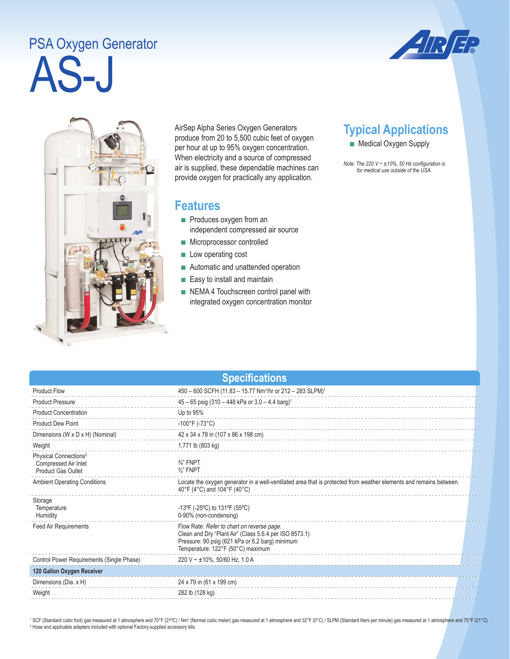## **AS-J** PSA Oxygen Generator





AirSep Alpha Series Oxygen Generators produce from 20 to 5,500 cubic feet of oxygen per hour at up to 95% oxygen concentration. When electricity and a source of compressed air is supplied, these dependable machines can provide oxygen for practically any application.

## **Features**

- Produces oxygen from an independent compressed air source
- Microprocessor controlled
- Low operating cost
- Automatic and unattended operation
- Easy to install and maintain
- NEMA 4 Touchscreen control panel with integrated oxygen concentration monitor

## **Typical Applications**

■ Medical Oxygen Supply

*Note: The 220 V ~ ±10%, 50 Hz configuration is for medical use outside of the USA.* 

| <b>Specifications</b>                                                                  |                                                                                                                                                                                              |  |  |  |
|----------------------------------------------------------------------------------------|----------------------------------------------------------------------------------------------------------------------------------------------------------------------------------------------|--|--|--|
| <b>Product Flow</b>                                                                    | 450 - 600 SCFH (11.83 - 15.77 Nm <sup>3</sup> /hr or 212 - 283 SLPM) <sup>1</sup>                                                                                                            |  |  |  |
| <b>Product Pressure</b>                                                                | $45 - 65$ psig (310 - 448 kPa or 3.0 - 4.4 barg) <sup>1</sup>                                                                                                                                |  |  |  |
| <b>Product Concentration</b>                                                           | Up to 95%                                                                                                                                                                                    |  |  |  |
| <b>Product Dew Point</b>                                                               | $-100^{\circ}$ F (-73 $^{\circ}$ C)                                                                                                                                                          |  |  |  |
| Dimensions (W x D x H) (Nominal)                                                       | 42 x 34 x 78 in (107 x 86 x 198 cm)                                                                                                                                                          |  |  |  |
| Weight                                                                                 | 1,771 lb (803 kg)                                                                                                                                                                            |  |  |  |
| Physical Connections <sup>2</sup><br>Compressed Air Inlet<br><b>Product Gas Outlet</b> | $\frac{3}{4}$ " FNPT<br>$\frac{3}{8}$ " FNPT                                                                                                                                                 |  |  |  |
| <b>Ambient Operating Conditions</b>                                                    | Locate the oxygen generator in a well-ventilated area that is protected from weather elements and remains between<br>40°F (4°C) and 104°F (40°C)                                             |  |  |  |
| Storage<br>Temperature<br>Humidity                                                     | -13°F (-25°C) to 131°F (55°C)<br>0-90% (non-condensing)                                                                                                                                      |  |  |  |
| <b>Feed Air Requirements</b>                                                           | Flow Rate: Refer to chart on reverse page.<br>Clean and Dry "Plant Air" (Class 5.6.4 per ISO 8573.1)<br>Pressure: 90 psig (621 kPa or 6.2 barg) minimum<br>Temperature: 122°F (50°C) maximum |  |  |  |
| Control Power Requirements (Single Phase)                                              | 220 V ~ $\pm$ 10%, 50/60 Hz, 1.0 A                                                                                                                                                           |  |  |  |
| 120 Gallon Oxygen Receiver                                                             |                                                                                                                                                                                              |  |  |  |
| Dimensions (Dia. x H)                                                                  | 24 x 79 in (61 x 199 cm)                                                                                                                                                                     |  |  |  |
| Weight                                                                                 | 282 lb (128 kg)                                                                                                                                                                              |  |  |  |
|                                                                                        |                                                                                                                                                                                              |  |  |  |

<sup>1</sup> SCF (Standard cubic foot) gas measured at 1 atmosphere and 70°F (21°C) / Nm<sup>3</sup> (Normal cubic meter) gas measured at 1 atmosphere and 32°F (0°C) / SLPM (Standard liters per minute) gas measured at 1 atmosphere and 70°F <sup>2</sup> Hose and applicable adapters included with optional Factory-supplied accessory kits.